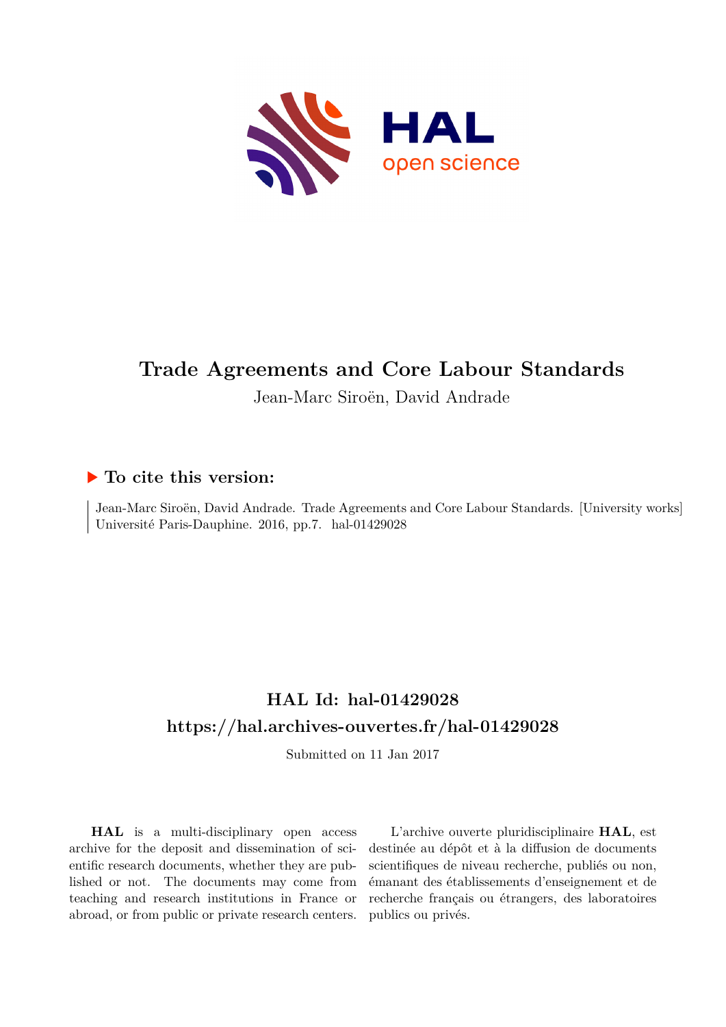

## **Trade Agreements and Core Labour Standards**

Jean-Marc Siroën, David Andrade

### **To cite this version:**

Jean-Marc Siroën, David Andrade. Trade Agreements and Core Labour Standards. [University works] Université Paris-Dauphine. 2016, pp.7. hal-01429028

## **HAL Id: hal-01429028 <https://hal.archives-ouvertes.fr/hal-01429028>**

Submitted on 11 Jan 2017

**HAL** is a multi-disciplinary open access archive for the deposit and dissemination of scientific research documents, whether they are published or not. The documents may come from teaching and research institutions in France or abroad, or from public or private research centers.

L'archive ouverte pluridisciplinaire **HAL**, est destinée au dépôt et à la diffusion de documents scientifiques de niveau recherche, publiés ou non, émanant des établissements d'enseignement et de recherche français ou étrangers, des laboratoires publics ou privés.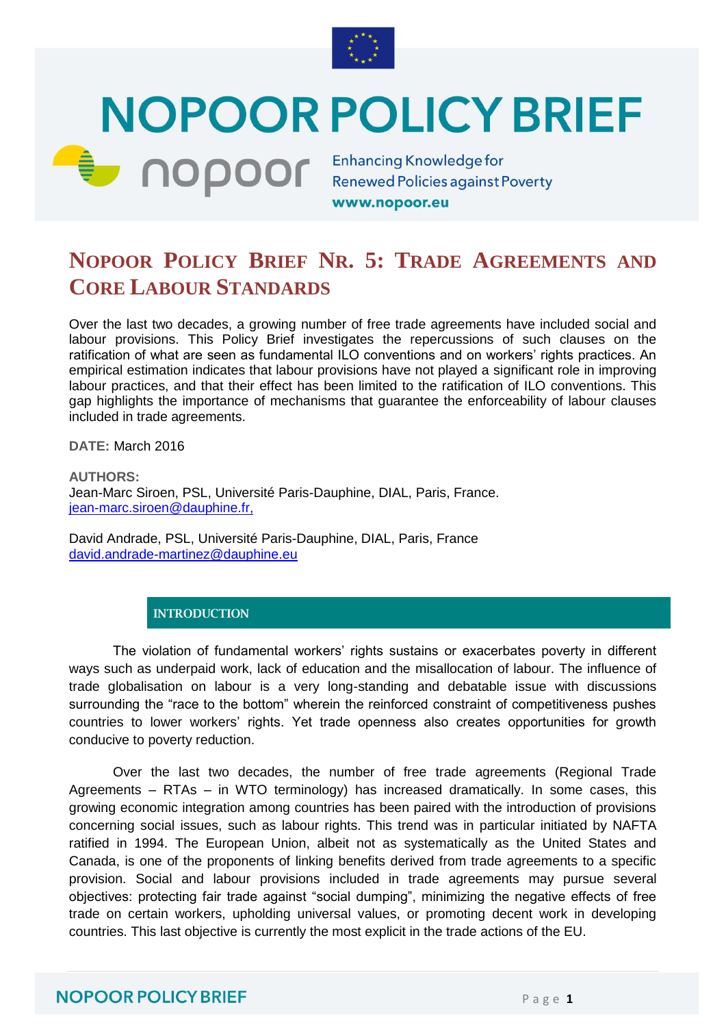

# **NOPOOR POLICY BRIEF**

**Enhancing Knowledge for Enhancing Knowledge for** 

www.nopoor.eu

## **NOPOOR POLICY BRIEF NR. 5: TRADE AGREEMENTS AND CORE LABOUR STANDARDS**

Over the last two decades, a growing number of free trade agreements have included social and labour provisions. This Policy Brief investigates the repercussions of such clauses on the ratification of what are seen as fundamental ILO conventions and on workers" rights practices. An empirical estimation indicates that labour provisions have not played a significant role in improving labour practices, and that their effect has been limited to the ratification of ILO conventions. This gap highlights the importance of mechanisms that guarantee the enforceability of labour clauses included in trade agreements.

**DATE:** March 2016

**AUTHORS:**  Jean-Marc Siroen, PSL, Université Paris-Dauphine, DIAL, Paris, France. [jean-marc.siroen@dauphine.fr,](mailto:jean-marc.siroen@dauphine.fr)

David Andrade, PSL, Université Paris-Dauphine, DIAL, Paris, France [david.andrade-martinez@dauphine.eu](mailto:david.andrade-martinez@dauphine.eu)

#### **INTRODUCTION**

The violation of fundamental workers" rights sustains or exacerbates poverty in different ways such as underpaid work, lack of education and the misallocation of labour. The influence of trade globalisation on labour is a very long-standing and debatable issue with discussions surrounding the "race to the bottom" wherein the reinforced constraint of competitiveness pushes countries to lower workers" rights. Yet trade openness also creates opportunities for growth conducive to poverty reduction.

Over the last two decades, the number of free trade agreements (Regional Trade Agreements – RTAs – in WTO terminology) has increased dramatically. In some cases, this growing economic integration among countries has been paired with the introduction of provisions concerning social issues, such as labour rights. This trend was in particular initiated by NAFTA ratified in 1994. The European Union, albeit not as systematically as the United States and Canada, is one of the proponents of linking benefits derived from trade agreements to a specific provision. Social and labour provisions included in trade agreements may pursue several objectives: protecting fair trade against "social dumping", minimizing the negative effects of free trade on certain workers, upholding universal values, or promoting decent work in developing countries. This last objective is currently the most explicit in the trade actions of the EU.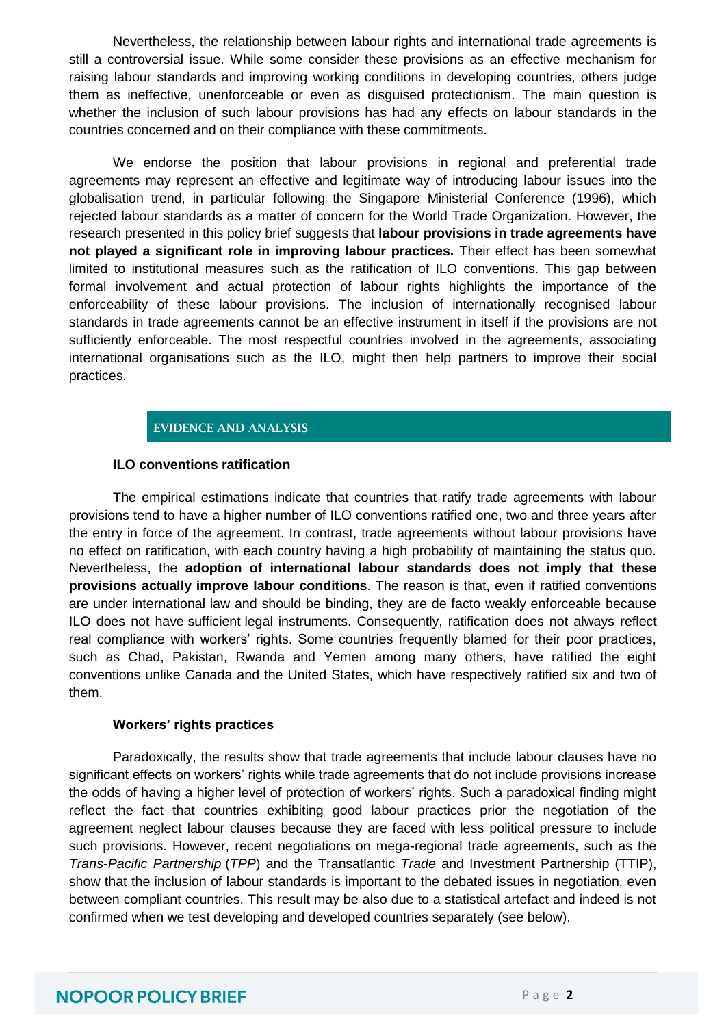Nevertheless, the relationship between labour rights and international trade agreements is still a controversial issue. While some consider these provisions as an effective mechanism for raising labour standards and improving working conditions in developing countries, others judge them as ineffective, unenforceable or even as disguised protectionism. The main question is whether the inclusion of such labour provisions has had any effects on labour standards in the countries concerned and on their compliance with these commitments.

We endorse the position that labour provisions in regional and preferential trade agreements may represent an effective and legitimate way of introducing labour issues into the globalisation trend, in particular following the Singapore Ministerial Conference (1996), which rejected labour standards as a matter of concern for the World Trade Organization. However, the research presented in this policy brief suggests that **labour provisions in trade agreements have not played a significant role in improving labour practices.** Their effect has been somewhat limited to institutional measures such as the ratification of ILO conventions. This gap between formal involvement and actual protection of labour rights highlights the importance of the enforceability of these labour provisions. The inclusion of internationally recognised labour standards in trade agreements cannot be an effective instrument in itself if the provisions are not sufficiently enforceable. The most respectful countries involved in the agreements, associating international organisations such as the ILO, might then help partners to improve their social practices.

#### **EVIDENCE AND ANALYSIS**

#### **ILO conventions ratification**

The empirical estimations indicate that countries that ratify trade agreements with labour provisions tend to have a higher number of ILO conventions ratified one, two and three years after the entry in force of the agreement. In contrast, trade agreements without labour provisions have no effect on ratification, with each country having a high probability of maintaining the status quo. Nevertheless, the **adoption of international labour standards does not imply that these provisions actually improve labour conditions**. The reason is that, even if ratified conventions are under international law and should be binding, they are de facto weakly enforceable because ILO does not have sufficient legal instruments. Consequently, ratification does not always reflect real compliance with workers' rights. Some countries frequently blamed for their poor practices, such as Chad, Pakistan, Rwanda and Yemen among many others, have ratified the eight conventions unlike Canada and the United States, which have respectively ratified six and two of them.

#### **Workers' rights practices**

Paradoxically, the results show that trade agreements that include labour clauses have no significant effects on workers" rights while trade agreements that do not include provisions increase the odds of having a higher level of protection of workers' rights. Such a paradoxical finding might reflect the fact that countries exhibiting good labour practices prior the negotiation of the agreement neglect labour clauses because they are faced with less political pressure to include such provisions. However, recent negotiations on mega-regional trade agreements, such as the *Trans*-*Pacific Partnership* (*TPP*) and the Transatlantic *Trade* and Investment Partnership (TTIP), show that the inclusion of labour standards is important to the debated issues in negotiation, even between compliant countries. This result may be also due to a statistical artefact and indeed is not confirmed when we test developing and developed countries separately (see below).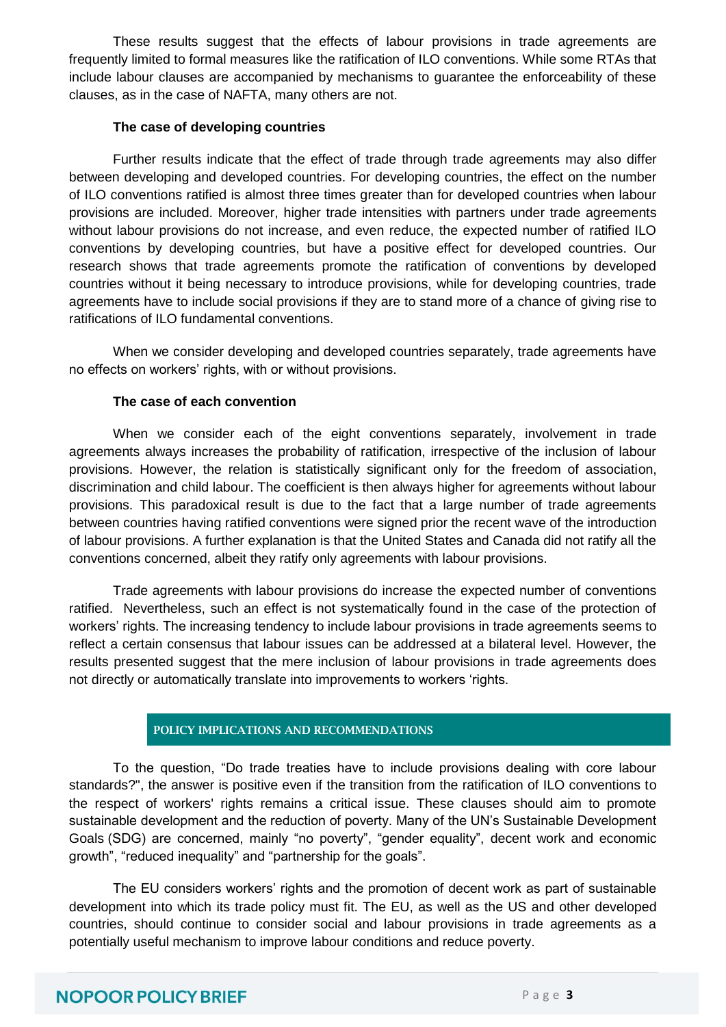These results suggest that the effects of labour provisions in trade agreements are frequently limited to formal measures like the ratification of ILO conventions. While some RTAs that include labour clauses are accompanied by mechanisms to guarantee the enforceability of these clauses, as in the case of NAFTA, many others are not.

#### **The case of developing countries**

Further results indicate that the effect of trade through trade agreements may also differ between developing and developed countries. For developing countries, the effect on the number of ILO conventions ratified is almost three times greater than for developed countries when labour provisions are included. Moreover, higher trade intensities with partners under trade agreements without labour provisions do not increase, and even reduce, the expected number of ratified ILO conventions by developing countries, but have a positive effect for developed countries. Our research shows that trade agreements promote the ratification of conventions by developed countries without it being necessary to introduce provisions, while for developing countries, trade agreements have to include social provisions if they are to stand more of a chance of giving rise to ratifications of ILO fundamental conventions.

When we consider developing and developed countries separately, trade agreements have no effects on workers' rights, with or without provisions.

#### **The case of each convention**

When we consider each of the eight conventions separately, involvement in trade agreements always increases the probability of ratification, irrespective of the inclusion of labour provisions. However, the relation is statistically significant only for the freedom of association, discrimination and child labour. The coefficient is then always higher for agreements without labour provisions. This paradoxical result is due to the fact that a large number of trade agreements between countries having ratified conventions were signed prior the recent wave of the introduction of labour provisions. A further explanation is that the United States and Canada did not ratify all the conventions concerned, albeit they ratify only agreements with labour provisions.

Trade agreements with labour provisions do increase the expected number of conventions ratified. Nevertheless, such an effect is not systematically found in the case of the protection of workers" rights. The increasing tendency to include labour provisions in trade agreements seems to reflect a certain consensus that labour issues can be addressed at a bilateral level. However, the results presented suggest that the mere inclusion of labour provisions in trade agreements does not directly or automatically translate into improvements to workers "rights.

#### **POLICY IMPLICATIONS AND RECOMMENDATIONS**

To the question, "Do trade treaties have to include provisions dealing with core labour standards?", the answer is positive even if the transition from the ratification of ILO conventions to the respect of workers' rights remains a critical issue. These clauses should aim to promote sustainable development and the reduction of poverty. Many of the UN"s Sustainable Development Goals (SDG) are concerned, mainly "no poverty", "gender equality", decent work and economic growth", "reduced inequality" and "partnership for the goals".

The EU considers workers" rights and the promotion of decent work as part of sustainable development into which its trade policy must fit. The EU, as well as the US and other developed countries, should continue to consider social and labour provisions in trade agreements as a potentially useful mechanism to improve labour conditions and reduce poverty.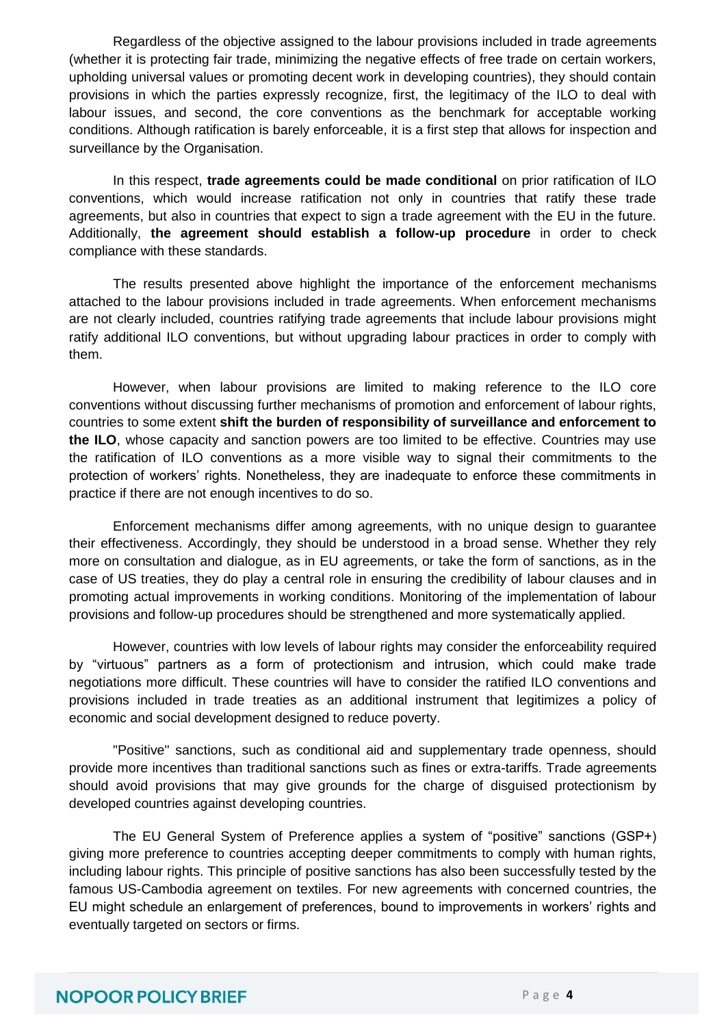Regardless of the objective assigned to the labour provisions included in trade agreements (whether it is protecting fair trade, minimizing the negative effects of free trade on certain workers, upholding universal values or promoting decent work in developing countries), they should contain provisions in which the parties expressly recognize, first, the legitimacy of the ILO to deal with labour issues, and second, the core conventions as the benchmark for acceptable working conditions. Although ratification is barely enforceable, it is a first step that allows for inspection and surveillance by the Organisation.

In this respect, **trade agreements could be made conditional** on prior ratification of ILO conventions, which would increase ratification not only in countries that ratify these trade agreements, but also in countries that expect to sign a trade agreement with the EU in the future. Additionally, **the agreement should establish a follow-up procedure** in order to check compliance with these standards.

The results presented above highlight the importance of the enforcement mechanisms attached to the labour provisions included in trade agreements. When enforcement mechanisms are not clearly included, countries ratifying trade agreements that include labour provisions might ratify additional ILO conventions, but without upgrading labour practices in order to comply with them.

However, when labour provisions are limited to making reference to the ILO core conventions without discussing further mechanisms of promotion and enforcement of labour rights, countries to some extent **shift the burden of responsibility of surveillance and enforcement to the ILO**, whose capacity and sanction powers are too limited to be effective. Countries may use the ratification of ILO conventions as a more visible way to signal their commitments to the protection of workers' rights. Nonetheless, they are inadequate to enforce these commitments in practice if there are not enough incentives to do so.

Enforcement mechanisms differ among agreements, with no unique design to guarantee their effectiveness. Accordingly, they should be understood in a broad sense. Whether they rely more on consultation and dialogue, as in EU agreements, or take the form of sanctions, as in the case of US treaties, they do play a central role in ensuring the credibility of labour clauses and in promoting actual improvements in working conditions. Monitoring of the implementation of labour provisions and follow-up procedures should be strengthened and more systematically applied.

However, countries with low levels of labour rights may consider the enforceability required by "virtuous" partners as a form of protectionism and intrusion, which could make trade negotiations more difficult. These countries will have to consider the ratified ILO conventions and provisions included in trade treaties as an additional instrument that legitimizes a policy of economic and social development designed to reduce poverty.

"Positive" sanctions, such as conditional aid and supplementary trade openness, should provide more incentives than traditional sanctions such as fines or extra-tariffs. Trade agreements should avoid provisions that may give grounds for the charge of disguised protectionism by developed countries against developing countries.

The EU General System of Preference applies a system of "positive" sanctions (GSP+) giving more preference to countries accepting deeper commitments to comply with human rights, including labour rights. This principle of positive sanctions has also been successfully tested by the famous US-Cambodia agreement on textiles. For new agreements with concerned countries, the EU might schedule an enlargement of preferences, bound to improvements in workers" rights and eventually targeted on sectors or firms.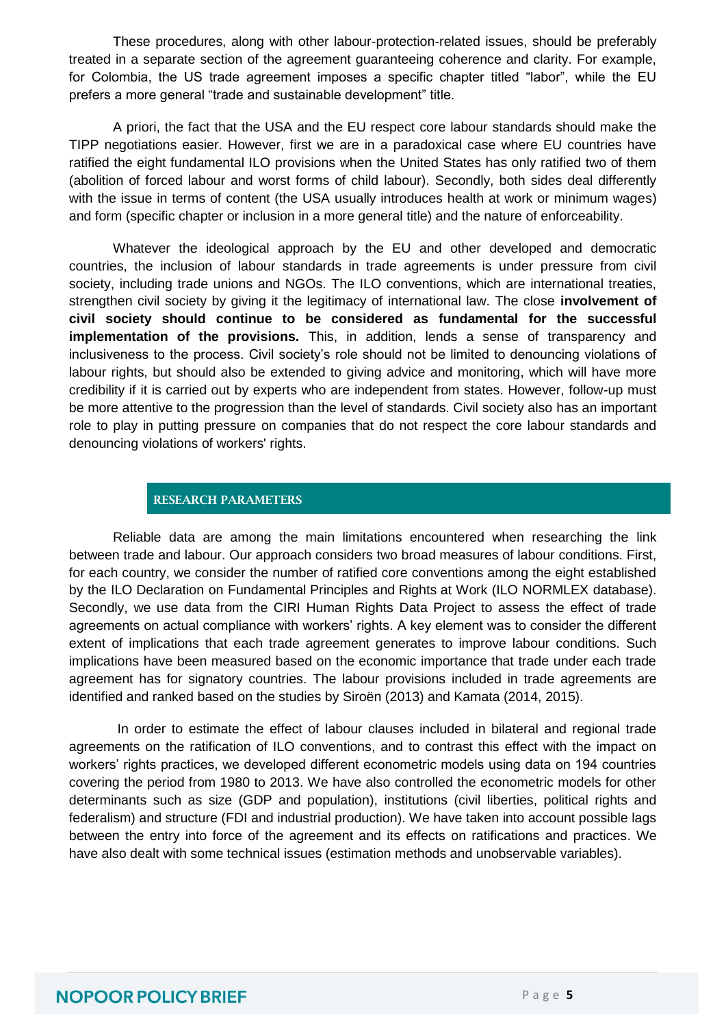These procedures, along with other labour-protection-related issues, should be preferably treated in a separate section of the agreement guaranteeing coherence and clarity. For example, for Colombia, the US trade agreement imposes a specific chapter titled "labor", while the EU prefers a more general "trade and sustainable development" title.

A priori, the fact that the USA and the EU respect core labour standards should make the TIPP negotiations easier. However, first we are in a paradoxical case where EU countries have ratified the eight fundamental ILO provisions when the United States has only ratified two of them (abolition of forced labour and worst forms of child labour). Secondly, both sides deal differently with the issue in terms of content (the USA usually introduces health at work or minimum wages) and form (specific chapter or inclusion in a more general title) and the nature of enforceability.

Whatever the ideological approach by the EU and other developed and democratic countries, the inclusion of labour standards in trade agreements is under pressure from civil society, including trade unions and NGOs. The ILO conventions, which are international treaties, strengthen civil society by giving it the legitimacy of international law. The close **involvement of civil society should continue to be considered as fundamental for the successful implementation of the provisions.** This, in addition, lends a sense of transparency and inclusiveness to the process. Civil society"s role should not be limited to denouncing violations of labour rights, but should also be extended to giving advice and monitoring, which will have more credibility if it is carried out by experts who are independent from states. However, follow-up must be more attentive to the progression than the level of standards. Civil society also has an important role to play in putting pressure on companies that do not respect the core labour standards and denouncing violations of workers' rights.

#### **RESEARCH PARAMETERS**

Reliable data are among the main limitations encountered when researching the link between trade and labour. Our approach considers two broad measures of labour conditions. First, for each country, we consider the number of ratified core conventions among the eight established by the ILO Declaration on Fundamental Principles and Rights at Work (ILO NORMLEX database). Secondly, we use data from the CIRI Human Rights Data Project to assess the effect of trade agreements on actual compliance with workers' rights. A key element was to consider the different extent of implications that each trade agreement generates to improve labour conditions. Such implications have been measured based on the economic importance that trade under each trade agreement has for signatory countries. The labour provisions included in trade agreements are identified and ranked based on the studies by Siroën (2013) and Kamata (2014, 2015).

 In order to estimate the effect of labour clauses included in bilateral and regional trade agreements on the ratification of ILO conventions, and to contrast this effect with the impact on workers" rights practices, we developed different econometric models using data on 194 countries covering the period from 1980 to 2013. We have also controlled the econometric models for other determinants such as size (GDP and population), institutions (civil liberties, political rights and federalism) and structure (FDI and industrial production). We have taken into account possible lags between the entry into force of the agreement and its effects on ratifications and practices. We have also dealt with some technical issues (estimation methods and unobservable variables).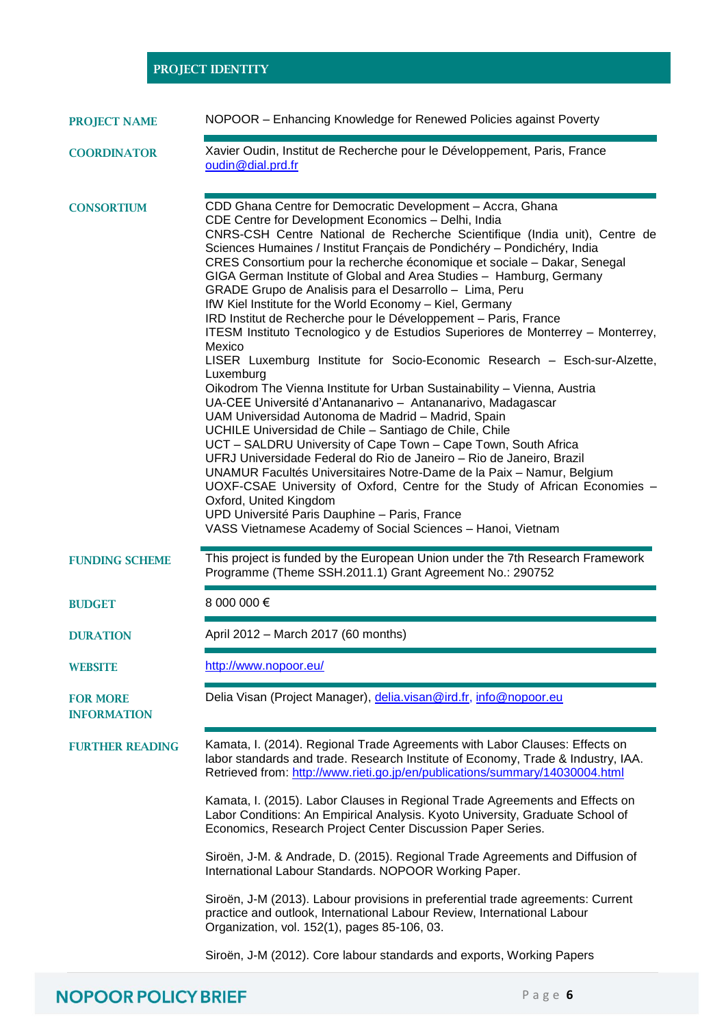#### **PROJECT IDENTITY**

| <b>PROJECT NAME</b> |  | NOPOOR - Enhancing Knowledge for Renewed Policies against Poverty |  |  |
|---------------------|--|-------------------------------------------------------------------|--|--|
|---------------------|--|-------------------------------------------------------------------|--|--|

#### **COORDINATOR** Xavier Oudin, Institut de Recherche pour le Développement, Paris, France [oudin@dial.prd.fr](mailto:oudin@dial.prd.fr) **CONSORTIUM** CDD Ghana Centre for Democratic Development – Accra, Ghana CDE Centre for Development Economics – Delhi, India CNRS-CSH Centre National de Recherche Scientifique (India unit), Centre de Sciences Humaines / Institut Français de Pondichéry – Pondichéry, India CRES Consortium pour la recherche économique et sociale – Dakar, Senegal GIGA German Institute of Global and Area Studies – Hamburg, Germany GRADE Grupo de Analisis para el Desarrollo – Lima, Peru IfW Kiel Institute for the World Economy – Kiel, Germany IRD Institut de Recherche pour le Développement – Paris, France ITESM Instituto Tecnologico y de Estudios Superiores de Monterrey – Monterrey, Mexico LISER Luxemburg Institute for Socio-Economic Research – Esch-sur-Alzette, Luxemburg Oikodrom The Vienna Institute for Urban Sustainability – Vienna, Austria UA-CEE Université d"Antananarivo – Antananarivo, Madagascar

UAM Universidad Autonoma de Madrid – Madrid, Spain UCHILE Universidad de Chile – Santiago de Chile, Chile UCT – SALDRU University of Cape Town – Cape Town, South Africa UFRJ Universidade Federal do Rio de Janeiro – Rio de Janeiro, Brazil UNAMUR Facultés Universitaires Notre-Dame de la Paix – Namur, Belgium UOXF-CSAE University of Oxford, Centre for the Study of African Economies – Oxford, United Kingdom UPD Université Paris Dauphine – Paris, France VASS Vietnamese Academy of Social Sciences – Hanoi, Vietnam **FUNDING SCHEME** This project is funded by the European Union under the 7th Research Framework Programme (Theme SSH.2011.1) Grant Agreement No.: 290752

#### **BUDGET** 8 000 000 €

**DURATION** April 2012 – March 2017 (60 months)

**WEBSITE** <http://www.nopoor.eu/>

**FOR MORE INFORMATION**

**FURTHER READING** Kamata, I. (2014). Regional Trade Agreements with Labor Clauses: Effects on labor standards and trade. Research Institute of Economy, Trade & Industry, IAA. Retrieved from[: http://www.rieti.go.jp/en/publications/summary/14030004.html](http://www.rieti.go.jp/en/publications/summary/14030004.html)

Delia Visan (Project Manager), [delia.visan@ird.fr,](mailto:delia.visan@ird.fr) info@nopoor.eu

Kamata, I. (2015). Labor Clauses in Regional Trade Agreements and Effects on Labor Conditions: An Empirical Analysis. Kyoto University, Graduate School of Economics, Research Project Center Discussion Paper Series.

Siroën, J-M. & Andrade, D. (2015). Regional Trade Agreements and Diffusion of International Labour Standards. NOPOOR Working Paper.

Siroën, J-M (2013). Labour provisions in preferential trade agreements: Current practice and outlook, International Labour Review, International Labour Organization, vol. 152(1), pages 85-106, 03.

Siroën, J-M (2012). Core labour standards and exports, Working Papers